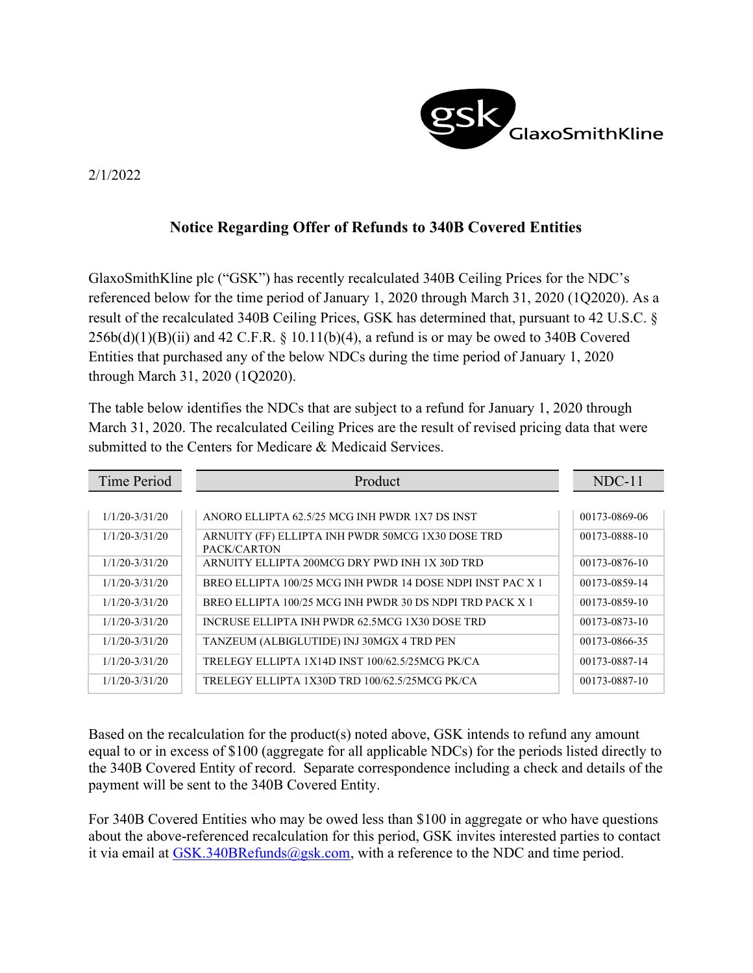

## 2/1/2022

## Notice Regarding Offer of Refunds to 340B Covered Entities

GlaxoSmithKline plc ("GSK") has recently recalculated 340B Ceiling Prices for the NDC's referenced below for the time period of January 1, 2020 through March 31, 2020 (1Q2020). As a result of the recalculated 340B Ceiling Prices, GSK has determined that, pursuant to 42 U.S.C. §  $256b(d)(1)(B)(ii)$  and 42 C.F.R. § 10.11(b)(4), a refund is or may be owed to 340B Covered Entities that purchased any of the below NDCs during the time period of January 1, 2020 through March 31, 2020 (1Q2020).

The table below identifies the NDCs that are subject to a refund for January 1, 2020 through March 31, 2020. The recalculated Ceiling Prices are the result of revised pricing data that were submitted to the Centers for Medicare & Medicaid Services.

| Time Period        | Product                                                          | $NDC-11$      |
|--------------------|------------------------------------------------------------------|---------------|
|                    |                                                                  |               |
| $1/1/20 - 3/31/20$ | ANORO ELLIPTA 62.5/25 MCG INH PWDR 1X7 DS INST                   | 00173-0869-06 |
| $1/1/20 - 3/31/20$ | ARNUITY (FF) ELLIPTA INH PWDR 50MCG 1X30 DOSE TRD<br>PACK/CARTON | 00173-0888-10 |
| $1/1/20 - 3/31/20$ | ARNUITY ELLIPTA 200MCG DRY PWD INH 1X 30D TRD                    | 00173-0876-10 |
| $1/1/20 - 3/31/20$ | BREO ELLIPTA 100/25 MCG INH PWDR 14 DOSE NDPI INST PAC X 1       | 00173-0859-14 |
| $1/1/20 - 3/31/20$ | BREO ELLIPTA 100/25 MCG INH PWDR 30 DS NDPI TRD PACK X 1         | 00173-0859-10 |
| $1/1/20 - 3/31/20$ | INCRUSE ELLIPTA INH PWDR 62.5MCG 1X30 DOSE TRD                   | 00173-0873-10 |
| $1/1/20 - 3/31/20$ | TANZEUM (ALBIGLUTIDE) INJ 30MGX 4 TRD PEN                        | 00173-0866-35 |
| $1/1/20 - 3/31/20$ | TRELEGY ELLIPTA 1X14D INST 100/62.5/25MCG PK/CA                  | 00173-0887-14 |
| $1/1/20 - 3/31/20$ | TRELEGY ELLIPTA 1X30D TRD 100/62.5/25MCG PK/CA                   | 00173-0887-10 |

Based on the recalculation for the product(s) noted above, GSK intends to refund any amount equal to or in excess of \$100 (aggregate for all applicable NDCs) for the periods listed directly to the 340B Covered Entity of record. Separate correspondence including a check and details of the payment will be sent to the 340B Covered Entity.

For 340B Covered Entities who may be owed less than \$100 in aggregate or who have questions about the above-referenced recalculation for this period, GSK invites interested parties to contact it via email at  $GSK.340BRefunds@gsk.com$ , with a reference to the NDC and time period.